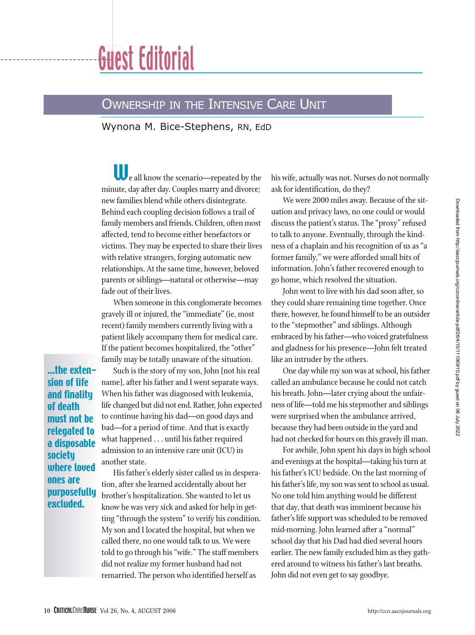

## OWNERSHIP IN THE INTENSIVE CARE UNIT

Wynona M. Bice-Stephens, RN, EdD

We all know the scenario—repeated by the minute, day after day. Couples marry and divorce; new families blend while others disintegrate. Behind each coupling decision follows a trail of family members and friends. Children, often most affected, tend to become either benefactors or victims. They may be expected to share their lives with relative strangers, forging automatic new relationships. At the same time, however, beloved parents or siblings—natural or otherwise—may fade out of their lives.

When someone in this conglomerate becomes gravely ill or injured, the "immediate" (ie, most recent) family members currently living with a patient likely accompany them for medical care. If the patient becomes hospitalized, the "other" family may be totally unaware of the situation.

...the extension of life and finality of death must not be relegated to a disposable society where loved ones are purposefully excluded.

Such is the story of my son, John [not his real name], after his father and I went separate ways. When his father was diagnosed with leukemia, life changed but did not end. Rather, John expected to continue having his dad—on good days and bad—for a period of time. And that is exactly what happened . . . until his father required admission to an intensive care unit (ICU) in another state.

His father's elderly sister called us in desperation, after she learned accidentally about her brother's hospitalization. She wanted to let us know he was very sick and asked for help in getting "through the system" to verify his condition. My son and I located the hospital, but when we called there, no one would talk to us. We were told to go through his "wife." The staff members did not realize my former husband had not remarried. The person who identified herself as

his wife, actually was not. Nurses do not normally ask for identification, do they?

We were 2000 miles away. Because of the situation and privacy laws, no one could or would discuss the patient's status. The "proxy" refused to talk to anyone. Eventually, through the kindness of a chaplain and his recognition of us as "a former family," we were afforded small bits of information. John's father recovered enough to go home, which resolved the situation.

John went to live with his dad soon after, so they could share remaining time together. Once there, however, he found himself to be an outsider to the "stepmother" and siblings. Although embraced by his father—who voiced gratefulness and gladness for his presence—John felt treated like an intruder by the others.

One day while my son was at school, his father called an ambulance because he could not catch his breath. John—later crying about the unfairness of life—told me his stepmother and siblings were surprised when the ambulance arrived, because they had been outside in the yard and had not checked for hours on this gravely ill man.

For awhile, John spent his days in high school and evenings at the hospital—taking his turn at his father's ICU bedside. On the last morning of his father's life, my son was sent to school as usual. No one told him anything would be different that day, that death was imminent because his father's life support was scheduled to be removed mid-morning. John learned after a "normal" school day that his Dad had died several hours earlier. The new family excluded him as they gathered around to witness his father's last breaths. John did not even get to say goodbye.